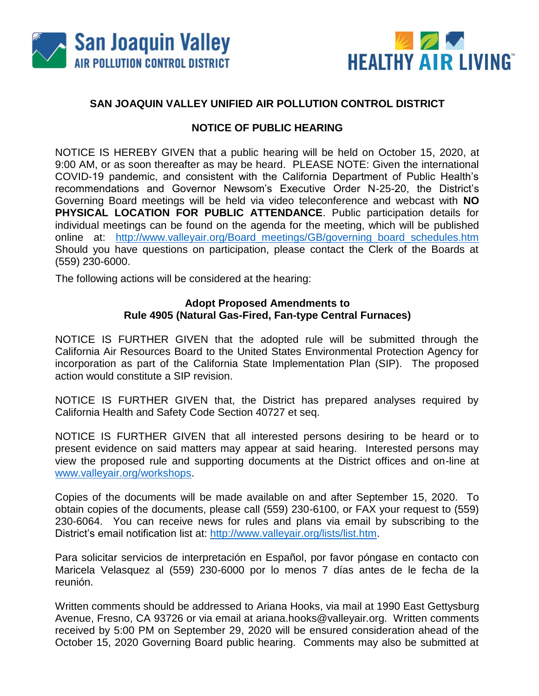



## **SAN JOAQUIN VALLEY UNIFIED AIR POLLUTION CONTROL DISTRICT**

## **NOTICE OF PUBLIC HEARING**

NOTICE IS HEREBY GIVEN that a public hearing will be held on October 15, 2020, at 9:00 AM, or as soon thereafter as may be heard. PLEASE NOTE: Given the international COVID-19 pandemic, and consistent with the California Department of Public Health's recommendations and Governor Newsom's Executive Order N-25-20, the District's Governing Board meetings will be held via video teleconference and webcast with **NO PHYSICAL LOCATION FOR PUBLIC ATTENDANCE**. Public participation details for individual meetings can be found on the agenda for the meeting, which will be published online at: [http://www.valleyair.org/Board\\_meetings/GB/governing\\_board\\_schedules.htm](http://www.valleyair.org/Board_meetings/GB/governing_board_schedules.htm) Should you have questions on participation, please contact the Clerk of the Boards at (559) 230-6000.

The following actions will be considered at the hearing:

## **Adopt Proposed Amendments to Rule 4905 (Natural Gas-Fired, Fan-type Central Furnaces)**

NOTICE IS FURTHER GIVEN that the adopted rule will be submitted through the California Air Resources Board to the United States Environmental Protection Agency for incorporation as part of the California State Implementation Plan (SIP). The proposed action would constitute a SIP revision.

NOTICE IS FURTHER GIVEN that, the District has prepared analyses required by California Health and Safety Code Section 40727 et seq.

NOTICE IS FURTHER GIVEN that all interested persons desiring to be heard or to present evidence on said matters may appear at said hearing. Interested persons may view the proposed rule and supporting documents at the District offices and on-line at [www.valleyair.org/workshops.](http://www.valleyair.org/workshops)

Copies of the documents will be made available on and after September 15, 2020. To obtain copies of the documents, please call (559) 230-6100, or FAX your request to (559) 230-6064. You can receive news for rules and plans via email by subscribing to the District's email notification list at: [http://www.valleyair.org/lists/list.htm.](http://www.valleyair.org/lists/list.htm)

Para solicitar servicios de interpretación en Español, por favor póngase en contacto con Maricela Velasquez al (559) 230-6000 por lo menos 7 días antes de le fecha de la reunión.

Written comments should be addressed to Ariana Hooks, via mail at 1990 East Gettysburg Avenue, Fresno, CA 93726 or via email at ariana.hooks@valleyair.org. Written comments received by 5:00 PM on September 29, 2020 will be ensured consideration ahead of the October 15, 2020 Governing Board public hearing. Comments may also be submitted at